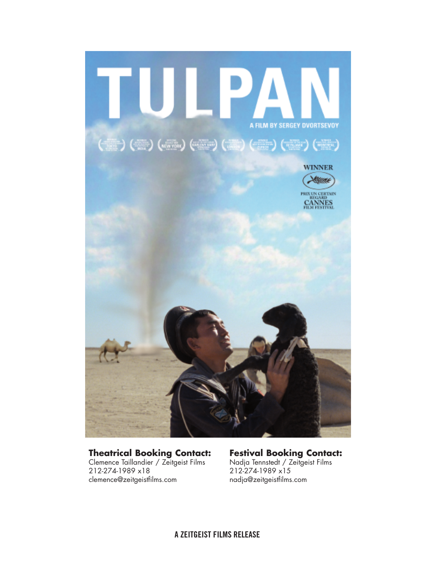

#### **Theatrical Booking Contact:**

Clemence Taillandier / Zeitgeist Films 212-274-1989 x18 clemence@zeitgeistfilms.com

**Festival Booking Contact:** Nadja Tennstedt / Zeitgeist Films 212-274-1989 x15 nadja@zeitgeistfilms.com

**A ZEITGEIST FILMS RELEASE**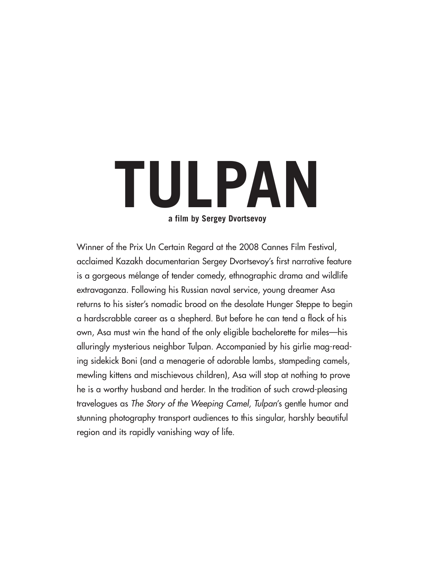# **TULPAN a film by Sergey Dvortsevoy**

Winner of the Prix Un Certain Regard at the 2008 Cannes Film Festival, acclaimed Kazakh documentarian Sergey Dvortsevoy's first narrative feature is a gorgeous mélange of tender comedy, ethnographic drama and wildlife extravaganza. Following his Russian naval service, young dreamer Asa returns to his sister's nomadic brood on the desolate Hunger Steppe to begin a hardscrabble career as a shepherd. But before he can tend a flock of his own, Asa must win the hand of the only eligible bachelorette for miles—his alluringly mysterious neighbor Tulpan. Accompanied by his girlie mag-reading sidekick Boni (and a menagerie of adorable lambs, stampeding camels, mewling kittens and mischievous children), Asa will stop at nothing to prove he is a worthy husband and herder. In the tradition of such crowd-pleasing travelogues as The Story of the Weeping Camel, Tulpan's gentle humor and stunning photography transport audiences to this singular, harshly beautiful region and its rapidly vanishing way of life.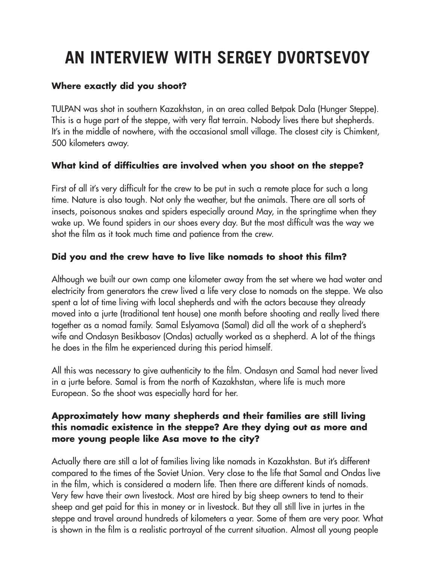## **AN INTERVIEW WITH SERGEY DVORTSEVOY**

#### **Where exactly did you shoot?**

TULPAN was shot in southern Kazakhstan, in an area called Betpak Dala (Hunger Steppe). This is a huge part of the steppe, with very flat terrain. Nobody lives there but shepherds. It's in the middle of nowhere, with the occasional small village. The closest city is Chimkent, 500 kilometers away.

### **What kind of difficulties are involved when you shoot on the steppe?**

First of all it's very difficult for the crew to be put in such a remote place for such a long time. Nature is also tough. Not only the weather, but the animals. There are all sorts of insects, poisonous snakes and spiders especially around May, in the springtime when they wake up. We found spiders in our shoes every day. But the most difficult was the way we shot the film as it took much time and patience from the crew.

### **Did you and the crew have to live like nomads to shoot this film?**

Although we built our own camp one kilometer away from the set where we had water and electricity from generators the crew lived a life very close to nomads on the steppe. We also spent a lot of time living with local shepherds and with the actors because they already moved into a jurte (traditional tent house) one month before shooting and really lived there together as a nomad family. Samal Eslyamova (Samal) did all the work of a shepherd's wife and Ondasyn Besikbasov (Ondas) actually worked as a shepherd. A lot of the things he does in the film he experienced during this period himself.

All this was necessary to give authenticity to the film. Ondasyn and Samal had never lived in a jurte before. Samal is from the north of Kazakhstan, where life is much more European. So the shoot was especially hard for her.

#### **Approximately how many shepherds and their families are still living this nomadic existence in the steppe? Are they dying out as more and more young people like Asa move to the city?**

Actually there are still a lot of families living like nomads in Kazakhstan. But it's different compared to the times of the Soviet Union. Very close to the life that Samal and Ondas live in the film, which is considered a modern life. Then there are different kinds of nomads. Very few have their own livestock. Most are hired by big sheep owners to tend to their sheep and get paid for this in money or in livestock. But they all still live in jurtes in the steppe and travel around hundreds of kilometers a year. Some of them are very poor. What is shown in the film is a realistic portrayal of the current situation. Almost all young people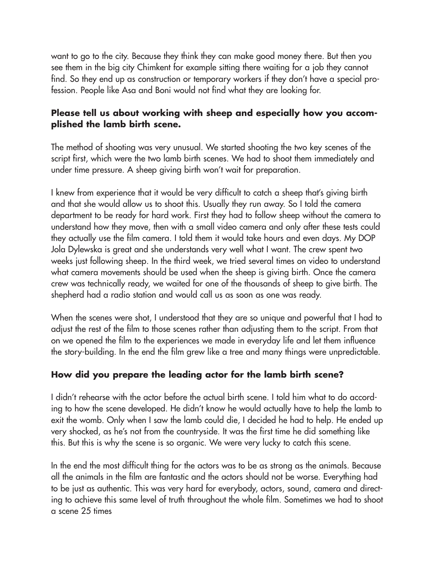want to go to the city. Because they think they can make good money there. But then you see them in the big city Chimkent for example sitting there waiting for a job they cannot find. So they end up as construction or temporary workers if they don't have a special profession. People like Asa and Boni would not find what they are looking for.

#### **Please tell us about working with sheep and especially how you accomplished the lamb birth scene.**

The method of shooting was very unusual. We started shooting the two key scenes of the script first, which were the two lamb birth scenes. We had to shoot them immediately and under time pressure. A sheep giving birth won't wait for preparation.

I knew from experience that it would be very difficult to catch a sheep that's giving birth and that she would allow us to shoot this. Usually they run away. So I told the camera department to be ready for hard work. First they had to follow sheep without the camera to understand how they move, then with a small video camera and only after these tests could they actually use the film camera. I told them it would take hours and even days. My DOP Jola Dylewska is great and she understands very well what I want. The crew spent two weeks just following sheep. In the third week, we tried several times on video to understand what camera movements should be used when the sheep is giving birth. Once the camera crew was technically ready, we waited for one of the thousands of sheep to give birth. The shepherd had a radio station and would call us as soon as one was ready.

When the scenes were shot, I understood that they are so unique and powerful that I had to adjust the rest of the film to those scenes rather than adjusting them to the script. From that on we opened the film to the experiences we made in everyday life and let them influence the story-building. In the end the film grew like a tree and many things were unpredictable.

### **How did you prepare the leading actor for the lamb birth scene?**

I didn't rehearse with the actor before the actual birth scene. I told him what to do according to how the scene developed. He didn't know he would actually have to help the lamb to exit the womb. Only when I saw the lamb could die, I decided he had to help. He ended up very shocked, as he's not from the countryside. It was the first time he did something like this. But this is why the scene is so organic. We were very lucky to catch this scene.

In the end the most difficult thing for the actors was to be as strong as the animals. Because all the animals in the film are fantastic and the actors should not be worse. Everything had to be just as authentic. This was very hard for everybody, actors, sound, camera and directing to achieve this same level of truth throughout the whole film. Sometimes we had to shoot a scene 25 times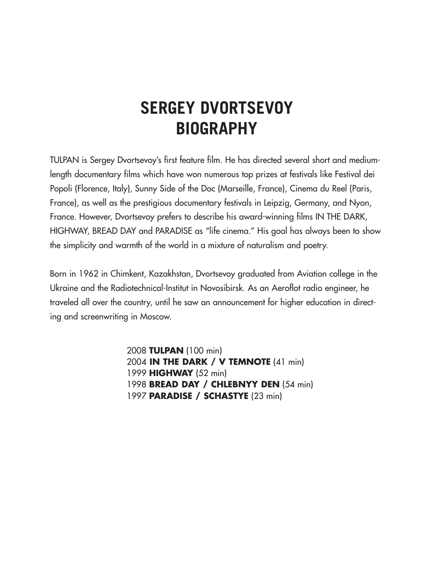### **SERGEY DVORTSEVOY BIOGRAPHY**

TULPAN is Sergey Dvortsevoy's first feature film. He has directed several short and mediumlength documentary films which have won numerous top prizes at festivals like Festival dei Popoli (Florence, Italy), Sunny Side of the Doc (Marseille, France), Cinema du Reel (Paris, France), as well as the prestigious documentary festivals in Leipzig, Germany, and Nyon, France. However, Dvortsevoy prefers to describe his award-winning films IN THE DARK, HIGHWAY, BREAD DAY and PARADISE as "life cinema." His goal has always been to show the simplicity and warmth of the world in a mixture of naturalism and poetry.

Born in 1962 in Chimkent, Kazakhstan, Dvortsevoy graduated from Aviation college in the Ukraine and the Radiotechnical-Institut in Novosibirsk. As an Aeroflot radio engineer, he traveled all over the country, until he saw an announcement for higher education in directing and screenwriting in Moscow.

> **TULPAN** (100 min) **IN THE DARK / V TEMNOTE** (41 min) **HIGHWAY** (52 min) **BREAD DAY / CHLEBNYY DEN** (54 min) **PARADISE / SCHASTYE** (23 min)